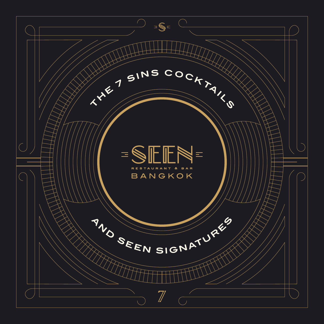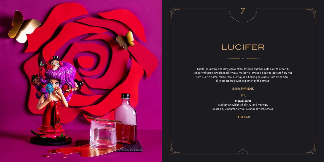**ANTISTICIAL** 





Lucifer is unafraid to defy convention. It takes another bold soul to order it. Made with premium blended whisky, the bottle-smoked cocktail gets its fiery hue from SEEN's home-made roselle syrup and tingling spiciness from cinnamon all ingredients bound together by the smoke.

SIN: **PRIDE**

養美

**Ingredients:** Monkey Shoulder Whisky, Grand Marnier, Roselle & Cinnamon Syrup, Orange Bitters, Smoke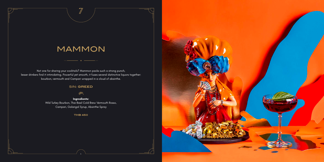

# MAMMON

Not one for sharing your cocktails? Mammon packs such a strong punch, lesser drinkers find it intimidating. Powerful yet smooth, it fuses several distinctive liquors together: bourbon, vermouth and Campari wrapped in a cloud of absinthe.

#### SIN: **GREED**

#### 美美

**Ingredients:** Wild Turkey Bourbon, Thai Basil Cold Brew Vermouth Rosso, Campari, Galangal Syrup, Absinthe Spray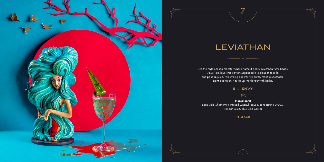



### LEVIATHAN

Like the mythical sea monster whose name it bears, Leviathan turns heads. Jewel-like blue lime caviar suspended in a glass of tequila and pandan juice, this striking cocktail will surely make a spectacle. Light and fresh, it turns up the flavour with herbs.

 $\overline{\mathbb{Z}}$ 

#### SIN: **ENVY**

茶

**Ingredients:** Sous Vide Chamomile-Infused Lunazul Tequila, Benedictine D.O.M., Pandan Juice, Blue Lime Caviar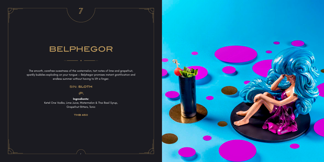

# BELPHEGOR

The smooth, carefree sweetness of the watermelon, tart notes of lime and grapefruit, sparkly bubbles exploding on your tongue — Belphegor promises instant gratification and endless summer without having to lift a finger.

#### SIN: **SLOTH**

#### 美美

**Ingredients:** Ketel One Vodka, Lime Juice, Watermelon & Thai Basil Syrup, Grapefruit Bitters, Tonic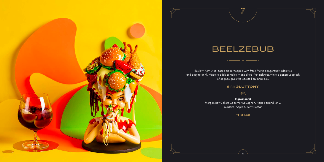

This low-ABV wine-based sipper topped with fresh fruit is dangerously addictive and easy to drink. Madeira adds complexity and dried-fruit richness, while a generous splash  $\overline{\phantom{a}}$  of cognac gives the cocktail an extra kick.  $\overline{\phantom{a}}$ 



### BEELZEBUB

#### SIN: **GLUTTONY**

紫

**Ingredients:** Morgan Bay Cellars Cabernet Sauvignon, Pierre Ferrand 1840, Madeira, Apple & Berry Nectar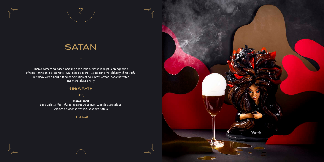

## **SATAN**

There's something dark simmering deep inside. Watch it erupt in an explosion of foam sitting atop a dramatic, rum-based cocktail. Appreciate the alchemy of masterful mixology with a hard-hitting combination of cold-brew coffee, coconut water and Maraschino cherry.

#### SIN: **WRATH**

#### 茶

**Ingredients:** Sous Vide Coffee-Infused Bacardi Ocho Rum, Luxardo Maraschino, Aromatic Coconut Water, Chocolate Bitters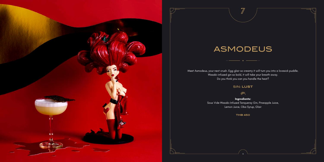



# ASMODEUS

Meet Asmodeus, your next crush. Egg glair so creamy it will turn you into a lovesick puddle. Wasabi-infused gin so bold, it will take your breath away. Do you think you can you handle the heat?

#### SIN: **LUST**

茶

**Ingredients:** Sous Vide Wasabi-Infused Tanqueray Gin, Pineapple Juice, Lemon Juice, Oba Syrup, Glair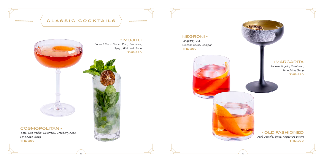### NEGRONI **\***

16

### MARGARITA

*Lunazul Tequila, Cointreau, Lime Juice, Syrup* **THB 390**



*Tanqueray Gin, Cinzano Rosso, Campari* **THB 390**





#### OLD FASHIONED

*Jack Daniel's, Syrup, Angostura Bitters* **THB 390**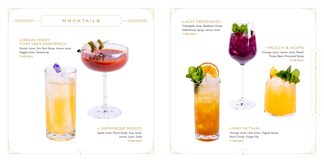*Pineapple Juice, Blueberry Puree, Elderflower Syrup, Lemon Juice* **THB 280**



#### PEACH & HOPS

*Orange Juice, Lemon Juice, Peach Puree, Beer-Flavoured Syrup* **THB 280**



### MAY IN THAI

*Orange Juice, Lime Juice, Orgeat Syrup, Rock Candy, Ginger Ale* **THB 280**



#### LADY MERMAID<sup>+</sup>

All prices are subject to government tax and 10% service charge.